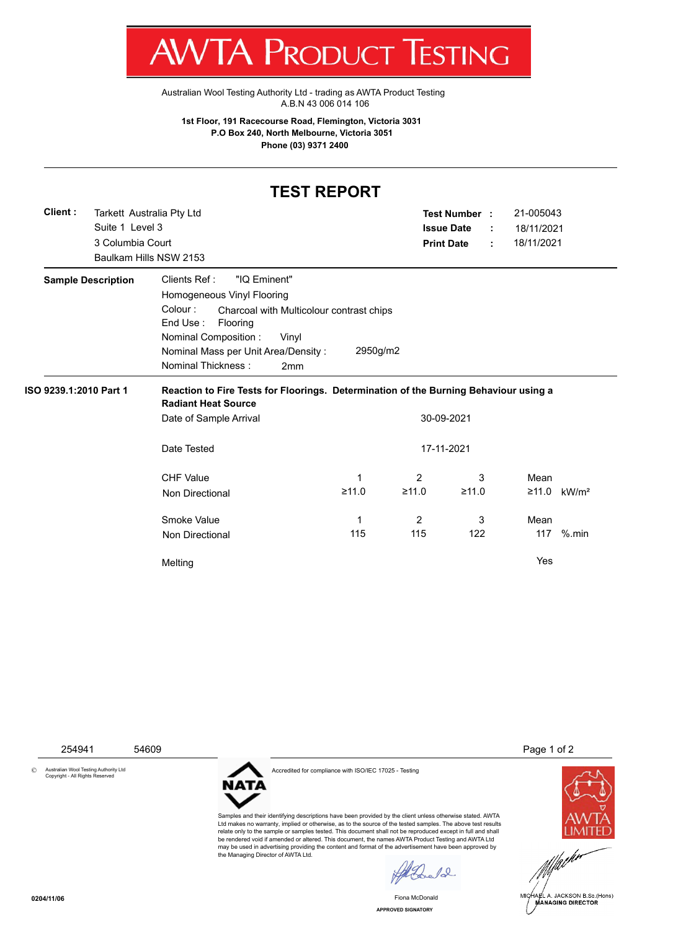T WV I/VI RUDUCT IESHING

[Australian Wool Testing Authority Ltd - trading as AWTA Product Testing](http://www.awtaproducttesting.com.au/) A.B.N 43 006 014 106

**1st Floor, 191 Racecourse Road, Flemington, Victoria 3031 P.O Box 240, North Melbourne, Victoria 3051 Phone (03) 9371 2400**

## **TEST REPORT**

|                           |                        | Tarkett Australia Pty Ltd                                                            |                                          | Test Number :     |       |  | 21-005043  |                           |  |
|---------------------------|------------------------|--------------------------------------------------------------------------------------|------------------------------------------|-------------------|-------|--|------------|---------------------------|--|
|                           | Suite 1 Level 3        |                                                                                      |                                          | <b>Issue Date</b> |       |  | 18/11/2021 |                           |  |
|                           | 3 Columbia Court       |                                                                                      |                                          | <b>Print Date</b> |       |  | 18/11/2021 |                           |  |
|                           | Baulkam Hills NSW 2153 |                                                                                      |                                          |                   |       |  |            |                           |  |
| <b>Sample Description</b> |                        | Clients Ref:<br>"IQ Eminent"                                                         |                                          |                   |       |  |            |                           |  |
|                           |                        | Homogeneous Vinyl Flooring                                                           |                                          |                   |       |  |            |                           |  |
|                           |                        | Colour:<br>End Use:<br>Flooring                                                      | Charcoal with Multicolour contrast chips |                   |       |  |            |                           |  |
|                           |                        | Nominal Composition :<br>Vinyl                                                       |                                          |                   |       |  |            |                           |  |
|                           |                        | Nominal Mass per Unit Area/Density:                                                  | 2950g/m2                                 |                   |       |  |            |                           |  |
|                           |                        | Nominal Thickness:<br>2mm                                                            |                                          |                   |       |  |            |                           |  |
| ISO 9239.1:2010 Part 1    |                        | Reaction to Fire Tests for Floorings. Determination of the Burning Behaviour using a |                                          |                   |       |  |            |                           |  |
|                           |                        | <b>Radiant Heat Source</b>                                                           |                                          |                   |       |  |            |                           |  |
|                           |                        | Date of Sample Arrival                                                               |                                          | 30-09-2021        |       |  |            |                           |  |
|                           |                        | Date Tested                                                                          |                                          | 17-11-2021        |       |  |            |                           |  |
|                           |                        | <b>CHF Value</b>                                                                     | 1                                        | 2                 | 3     |  | Mean       |                           |  |
|                           |                        | <b>Non Directional</b>                                                               | ≥11.0                                    | ≥11.0             | ≥11.0 |  |            | $≥11.0$ kW/m <sup>2</sup> |  |
|                           |                        | Smoke Value                                                                          | 1                                        | 2                 | 3     |  | Mean       |                           |  |
|                           |                        | Non Directional                                                                      | 115                                      | 115               | 122   |  | 117        | $%$ .min                  |  |

© Australian Wool Testing Authority Ltd Copyright - All Rights Reserved



Accredited for compliance with ISO/IEC 17025 - Testing

be rendered void if amended or altered. This document, the names AWTA Product Testing and AWTA Ltd may be used in advertising providing the content and format of the advertisement have been approved by the Managing Director of AWTA Ltd.

254941 54609 Page 1 of 2



MICHAEL A. JACKSON B.Sc.(Hons) MANAGING DIRECTOR

Samples and their identifying descriptions have been provided by the client unless otherwise stated. AWTA Ltd makes no warranty, implied or otherwise, as to the source of the tested samples. The above test results relate only to the sample or samples tested. This document shall not be reproduced except in full and shall

**APPROVED SIGNATORY** Fiona McDonald

 $12$